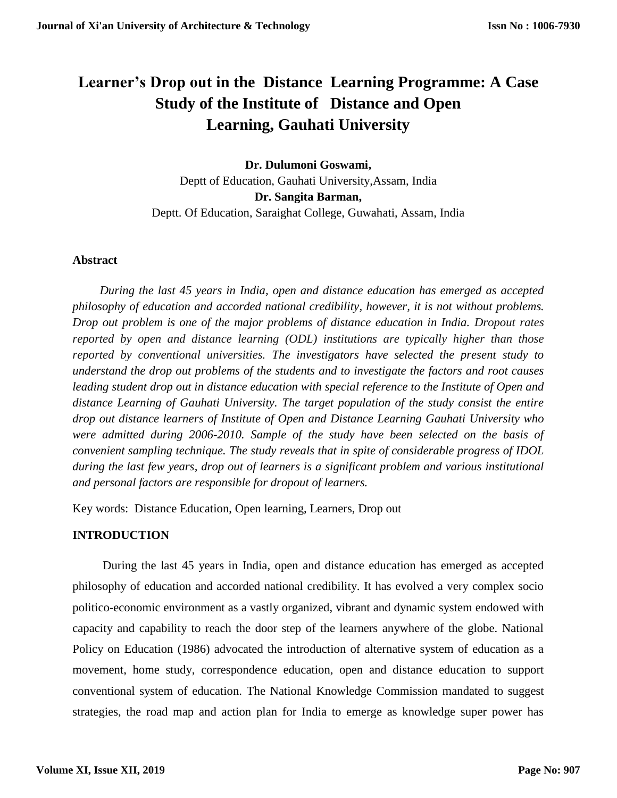# **Learner's Drop out in the Distance Learning Programme: A Case Study of the Institute of Distance and Open Learning, Gauhati University**

**Dr. Dulumoni Goswami,** Deptt of Education, Gauhati University,Assam, India **Dr. Sangita Barman,** Deptt. Of Education, Saraighat College, Guwahati, Assam, India

# **Abstract**

 *During the last 45 years in India, open and distance education has emerged as accepted philosophy of education and accorded national credibility, however, it is not without problems. Drop out problem is one of the major problems of distance education in India. Dropout rates reported by open and distance learning (ODL) institutions are typically higher than those reported by conventional universities. The investigators have selected the present study to understand the drop out problems of the students and to investigate the factors and root causes leading student drop out in distance education with special reference to the Institute of Open and distance Learning of Gauhati University. The target population of the study consist the entire drop out distance learners of Institute of Open and Distance Learning Gauhati University who were admitted during 2006-2010. Sample of the study have been selected on the basis of convenient sampling technique. The study reveals that in spite of considerable progress of IDOL during the last few years, drop out of learners is a significant problem and various institutional and personal factors are responsible for dropout of learners.* 

Key words: Distance Education, Open learning, Learners, Drop out

# **INTRODUCTION**

 During the last 45 years in India, open and distance education has emerged as accepted philosophy of education and accorded national credibility. It has evolved a very complex socio politico-economic environment as a vastly organized, vibrant and dynamic system endowed with capacity and capability to reach the door step of the learners anywhere of the globe. National Policy on Education (1986) advocated the introduction of alternative system of education as a movement, home study, correspondence education, open and distance education to support conventional system of education. The National Knowledge Commission mandated to suggest strategies, the road map and action plan for India to emerge as knowledge super power has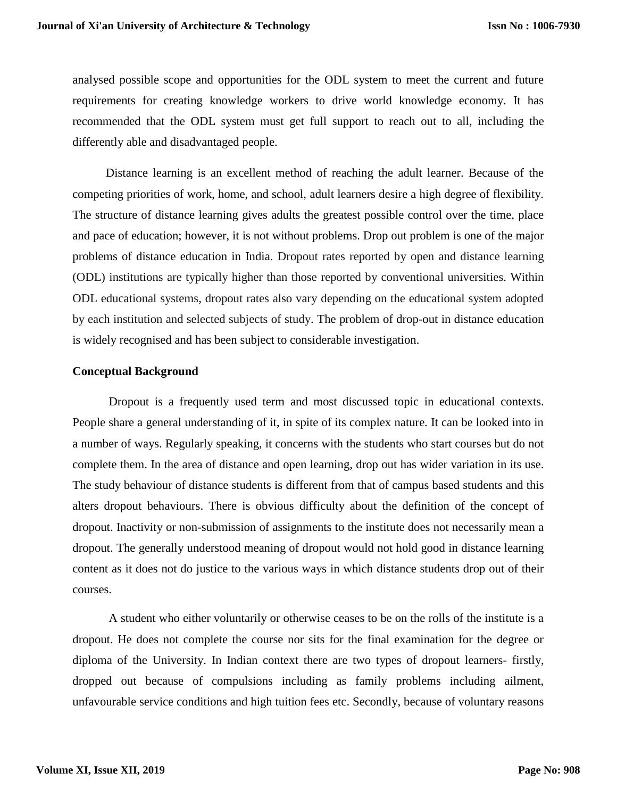analysed possible scope and opportunities for the ODL system to meet the current and future requirements for creating knowledge workers to drive world knowledge economy. It has recommended that the ODL system must get full support to reach out to all, including the differently able and disadvantaged people.

 Distance learning is an excellent method of reaching the adult learner. Because of the competing priorities of work, home, and school, adult learners desire a high degree of flexibility. The structure of distance learning gives adults the greatest possible control over the time, place and pace of education; however, it is not without problems. Drop out problem is one of the major problems of distance education in India. Dropout rates reported by open and distance learning (ODL) institutions are typically higher than those reported by conventional universities. Within ODL educational systems, dropout rates also vary depending on the educational system adopted by each institution and selected subjects of study. The problem of drop-out in distance education is widely recognised and has been subject to considerable investigation.

### **Conceptual Background**

Dropout is a frequently used term and most discussed topic in educational contexts. People share a general understanding of it, in spite of its complex nature. It can be looked into in a number of ways. Regularly speaking, it concerns with the students who start courses but do not complete them. In the area of distance and open learning, drop out has wider variation in its use. The study behaviour of distance students is different from that of campus based students and this alters dropout behaviours. There is obvious difficulty about the definition of the concept of dropout. Inactivity or non-submission of assignments to the institute does not necessarily mean a dropout. The generally understood meaning of dropout would not hold good in distance learning content as it does not do justice to the various ways in which distance students drop out of their courses.

A student who either voluntarily or otherwise ceases to be on the rolls of the institute is a dropout. He does not complete the course nor sits for the final examination for the degree or diploma of the University. In Indian context there are two types of dropout learners- firstly, dropped out because of compulsions including as family problems including ailment, unfavourable service conditions and high tuition fees etc. Secondly, because of voluntary reasons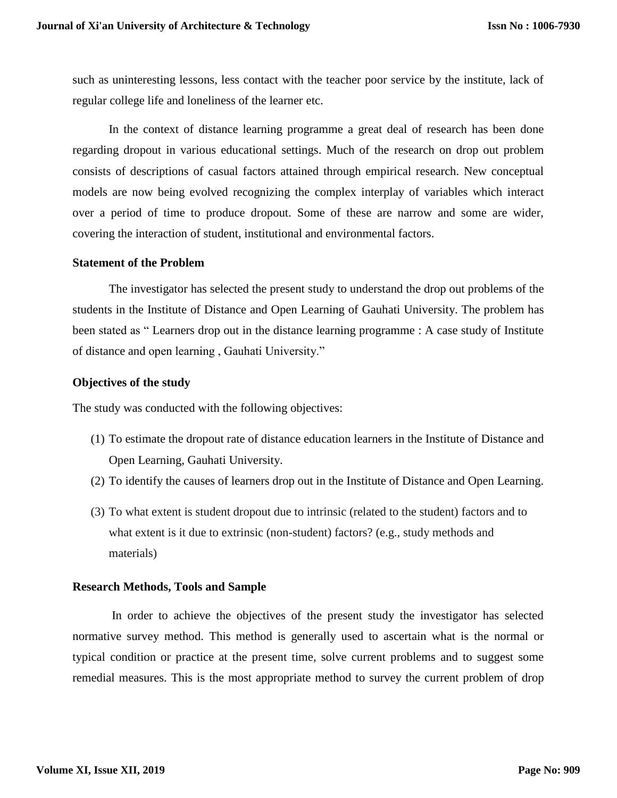such as uninteresting lessons, less contact with the teacher poor service by the institute, lack of regular college life and loneliness of the learner etc.

In the context of distance learning programme a great deal of research has been done regarding dropout in various educational settings. Much of the research on drop out problem consists of descriptions of casual factors attained through empirical research. New conceptual models are now being evolved recognizing the complex interplay of variables which interact over a period of time to produce dropout. Some of these are narrow and some are wider, covering the interaction of student, institutional and environmental factors.

### **Statement of the Problem**

 The investigator has selected the present study to understand the drop out problems of the students in the Institute of Distance and Open Learning of Gauhati University. The problem has been stated as " Learners drop out in the distance learning programme : A case study of Institute of distance and open learning , Gauhati University."

### **Objectives of the study**

The study was conducted with the following objectives:

- (1) To estimate the dropout rate of distance education learners in the Institute of Distance and Open Learning, Gauhati University.
- (2) To identify the causes of learners drop out in the Institute of Distance and Open Learning.
- (3) To what extent is student dropout due to intrinsic (related to the student) factors and to what extent is it due to extrinsic (non-student) factors? (e.g., study methods and materials)

### **Research Methods, Tools and Sample**

 In order to achieve the objectives of the present study the investigator has selected normative survey method. This method is generally used to ascertain what is the normal or typical condition or practice at the present time, solve current problems and to suggest some remedial measures. This is the most appropriate method to survey the current problem of drop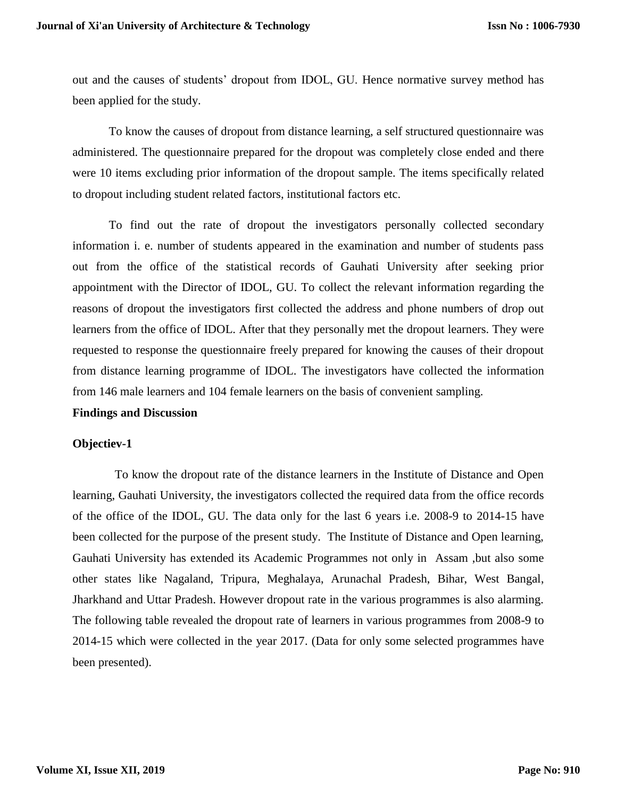out and the causes of students' dropout from IDOL, GU. Hence normative survey method has been applied for the study.

 To know the causes of dropout from distance learning, a self structured questionnaire was administered. The questionnaire prepared for the dropout was completely close ended and there were 10 items excluding prior information of the dropout sample. The items specifically related to dropout including student related factors, institutional factors etc.

To find out the rate of dropout the investigators personally collected secondary information i. e. number of students appeared in the examination and number of students pass out from the office of the statistical records of Gauhati University after seeking prior appointment with the Director of IDOL, GU. To collect the relevant information regarding the reasons of dropout the investigators first collected the address and phone numbers of drop out learners from the office of IDOL. After that they personally met the dropout learners. They were requested to response the questionnaire freely prepared for knowing the causes of their dropout from distance learning programme of IDOL. The investigators have collected the information from 146 male learners and 104 female learners on the basis of convenient sampling.

### **Findings and Discussion**

### **Objectiev-1**

 To know the dropout rate of the distance learners in the Institute of Distance and Open learning, Gauhati University, the investigators collected the required data from the office records of the office of the IDOL, GU. The data only for the last 6 years i.e. 2008-9 to 2014-15 have been collected for the purpose of the present study. The Institute of Distance and Open learning, Gauhati University has extended its Academic Programmes not only in Assam ,but also some other states like Nagaland, Tripura, Meghalaya, Arunachal Pradesh, Bihar, West Bangal, Jharkhand and Uttar Pradesh. However dropout rate in the various programmes is also alarming. The following table revealed the dropout rate of learners in various programmes from 2008-9 to 2014-15 which were collected in the year 2017. (Data for only some selected programmes have been presented).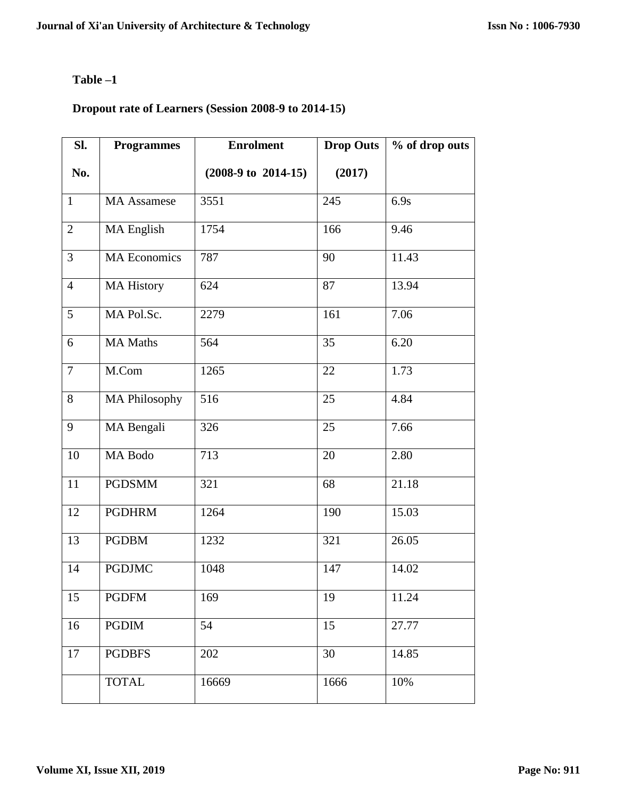# **Table –1**

# **Dropout rate of Learners (Session 2008-9 to 2014-15)**

| Sl.            | <b>Programmes</b>   | <b>Enrolment</b>               | <b>Drop Outs</b> | % of drop outs |
|----------------|---------------------|--------------------------------|------------------|----------------|
| No.            |                     | $(2008-9 \text{ to } 2014-15)$ | (2017)           |                |
| $\mathbf{1}$   | <b>MA</b> Assamese  | 3551                           | 245              | 6.9s           |
| $\overline{2}$ | MA English          | 1754                           | 166              | 9.46           |
| $\overline{3}$ | <b>MA Economics</b> | 787                            | 90               | 11.43          |
| $\overline{4}$ | <b>MA History</b>   | 624                            | 87               | 13.94          |
| 5 <sup>5</sup> | MA Pol.Sc.          | 2279                           | 161              | 7.06           |
| 6              | <b>MA Maths</b>     | 564                            | 35               | 6.20           |
| $\overline{7}$ | M.Com               | 1265                           | 22               | 1.73           |
| 8              | MA Philosophy       | 516                            | 25               | 4.84           |
| 9              | MA Bengali          | 326                            | 25               | 7.66           |
| $10\,$         | MA Bodo             | 713                            | 20               | 2.80           |
| 11             | <b>PGDSMM</b>       | 321                            | 68               | 21.18          |
| 12             | <b>PGDHRM</b>       | 1264                           | 190              | 15.03          |
| 13             | <b>PGDBM</b>        | 1232                           | 321              | 26.05          |
| 14             | <b>PGDJMC</b>       | 1048                           | 147              | 14.02          |
| 15             | <b>PGDFM</b>        | 169                            | 19               | 11.24          |
| 16             | <b>PGDIM</b>        | 54                             | 15               | 27.77          |
| 17             | <b>PGDBFS</b>       | 202                            | 30               | 14.85          |
|                | <b>TOTAL</b>        | 16669                          | 1666             | 10%            |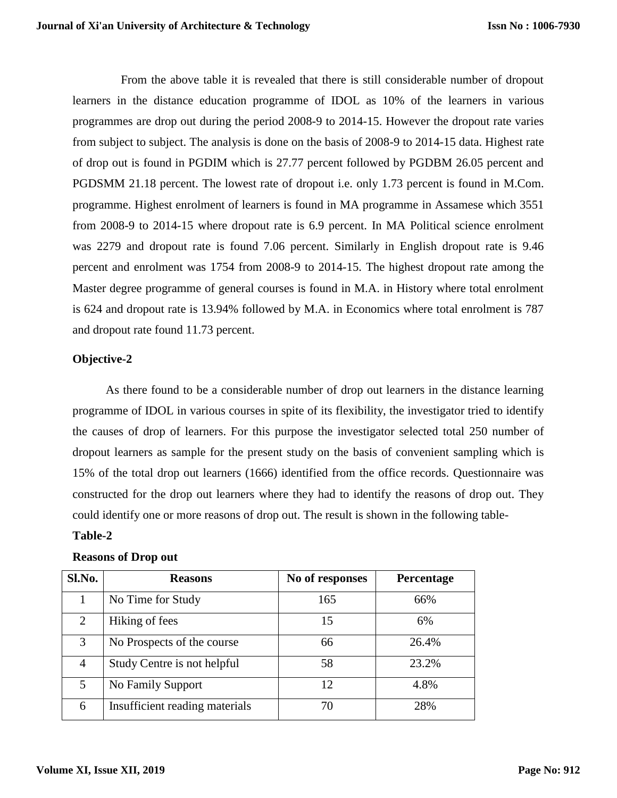From the above table it is revealed that there is still considerable number of dropout learners in the distance education programme of IDOL as 10% of the learners in various programmes are drop out during the period 2008-9 to 2014-15. However the dropout rate varies from subject to subject. The analysis is done on the basis of 2008-9 to 2014-15 data. Highest rate of drop out is found in PGDIM which is 27.77 percent followed by PGDBM 26.05 percent and PGDSMM 21.18 percent. The lowest rate of dropout i.e. only 1.73 percent is found in M.Com. programme. Highest enrolment of learners is found in MA programme in Assamese which 3551 from 2008-9 to 2014-15 where dropout rate is 6.9 percent. In MA Political science enrolment was 2279 and dropout rate is found 7.06 percent. Similarly in English dropout rate is 9.46 percent and enrolment was 1754 from 2008-9 to 2014-15. The highest dropout rate among the Master degree programme of general courses is found in M.A. in History where total enrolment is 624 and dropout rate is 13.94% followed by M.A. in Economics where total enrolment is 787 and dropout rate found 11.73 percent.

# **Objective-2**

 As there found to be a considerable number of drop out learners in the distance learning programme of IDOL in various courses in spite of its flexibility, the investigator tried to identify the causes of drop of learners. For this purpose the investigator selected total 250 number of dropout learners as sample for the present study on the basis of convenient sampling which is 15% of the total drop out learners (1666) identified from the office records. Questionnaire was constructed for the drop out learners where they had to identify the reasons of drop out. They could identify one or more reasons of drop out. The result is shown in the following table-

# **Table-2**

# **Reasons of Drop out**

| Sl.No. | <b>Reasons</b>                 | No of responses | Percentage |
|--------|--------------------------------|-----------------|------------|
|        | No Time for Study              | 165             | 66%        |
| 2      | Hiking of fees                 | 15              | 6%         |
| 3      | No Prospects of the course     | 66              | 26.4%      |
| 4      | Study Centre is not helpful    | 58              | 23.2%      |
| 5      | No Family Support              | 12              | 4.8%       |
| 6      | Insufficient reading materials | 70              | 28%        |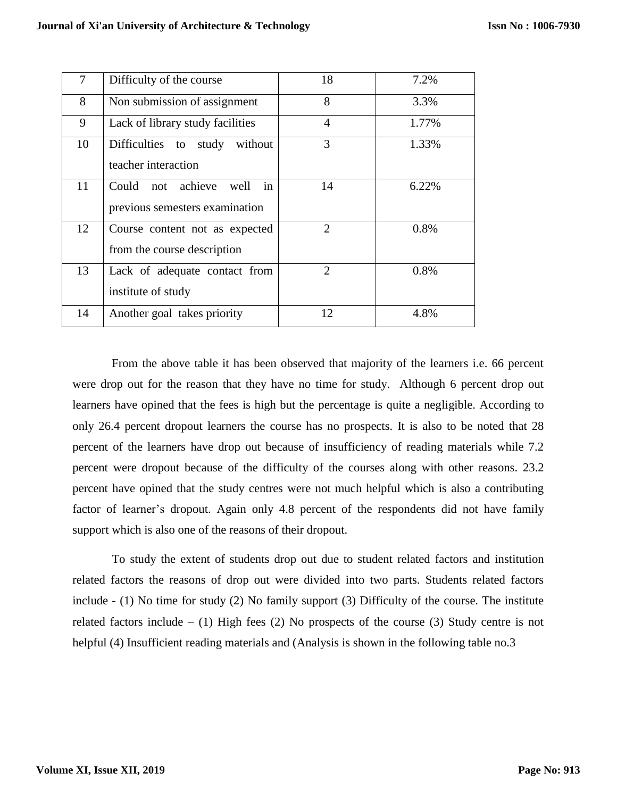| $\tau$ | Difficulty of the course                                          | 18                          | 7.2%  |
|--------|-------------------------------------------------------------------|-----------------------------|-------|
| 8      | Non submission of assignment                                      | 8                           | 3.3%  |
| 9      | Lack of library study facilities                                  | 4                           | 1.77% |
| 10     | Difficulties<br>study<br>without<br>to<br>teacher interaction     | 3                           | 1.33% |
| 11     | in<br>Could not achieve<br>well<br>previous semesters examination | 14                          | 6.22% |
| 12     | Course content not as expected<br>from the course description     | $\overline{2}$              | 0.8%  |
| 13     | Lack of adequate contact from<br>institute of study               | $\mathcal{D}_{\mathcal{L}}$ | 0.8%  |
| 14     | Another goal takes priority                                       | 12                          | 4.8%  |

From the above table it has been observed that majority of the learners i.e. 66 percent were drop out for the reason that they have no time for study. Although 6 percent drop out learners have opined that the fees is high but the percentage is quite a negligible. According to only 26.4 percent dropout learners the course has no prospects. It is also to be noted that 28 percent of the learners have drop out because of insufficiency of reading materials while 7.2 percent were dropout because of the difficulty of the courses along with other reasons. 23.2 percent have opined that the study centres were not much helpful which is also a contributing factor of learner's dropout. Again only 4.8 percent of the respondents did not have family support which is also one of the reasons of their dropout.

To study the extent of students drop out due to student related factors and institution related factors the reasons of drop out were divided into two parts. Students related factors include - (1) No time for study (2) No family support (3) Difficulty of the course. The institute related factors include  $-$  (1) High fees (2) No prospects of the course (3) Study centre is not helpful (4) Insufficient reading materials and (Analysis is shown in the following table no.3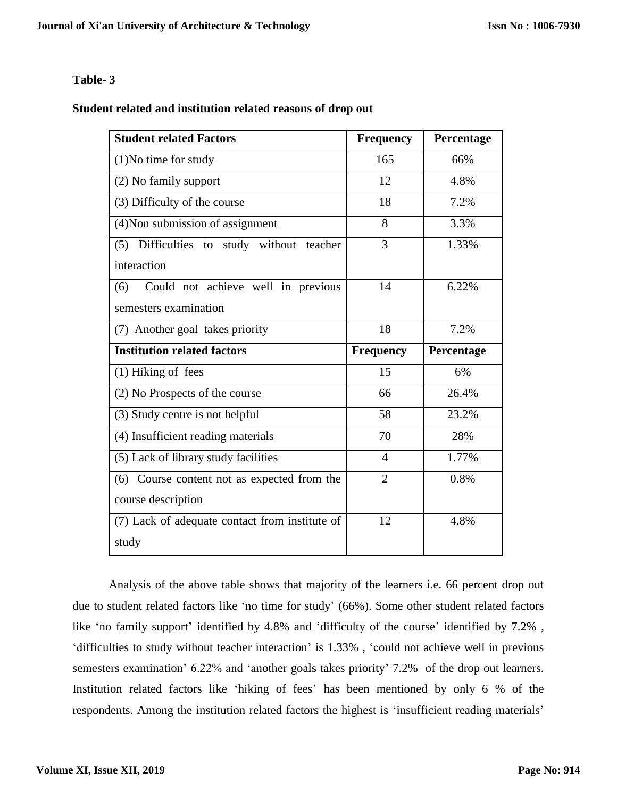# **Table- 3**

# **Student related and institution related reasons of drop out**

| <b>Student related Factors</b>                 | <b>Frequency</b> | Percentage |
|------------------------------------------------|------------------|------------|
| $(1)$ No time for study                        | 165              | 66%        |
| (2) No family support                          | 12               | 4.8%       |
| (3) Difficulty of the course                   | 18               | 7.2%       |
| (4) Non submission of assignment               | 8                | 3.3%       |
| (5) Difficulties to study without teacher      | 3                | 1.33%      |
| interaction                                    |                  |            |
| Could not achieve well in previous<br>(6)      | 14               | 6.22%      |
| semesters examination                          |                  |            |
| (7) Another goal takes priority                | 18               | 7.2%       |
| <b>Institution related factors</b>             | <b>Frequency</b> | Percentage |
| (1) Hiking of fees                             | 15               | 6%         |
|                                                |                  |            |
| (2) No Prospects of the course                 | 66               | 26.4%      |
| (3) Study centre is not helpful                | 58               | 23.2%      |
| (4) Insufficient reading materials             | 70               | 28%        |
| (5) Lack of library study facilities           | $\overline{4}$   | 1.77%      |
| (6) Course content not as expected from the    | $\overline{2}$   | 0.8%       |
| course description                             |                  |            |
| (7) Lack of adequate contact from institute of | 12               | 4.8%       |

Analysis of the above table shows that majority of the learners i.e. 66 percent drop out due to student related factors like 'no time for study' (66%). Some other student related factors like 'no family support' identified by 4.8% and 'difficulty of the course' identified by 7.2% , 'difficulties to study without teacher interaction' is 1.33% , 'could not achieve well in previous semesters examination' 6.22% and 'another goals takes priority' 7.2% of the drop out learners. Institution related factors like 'hiking of fees' has been mentioned by only 6 % of the respondents. Among the institution related factors the highest is 'insufficient reading materials'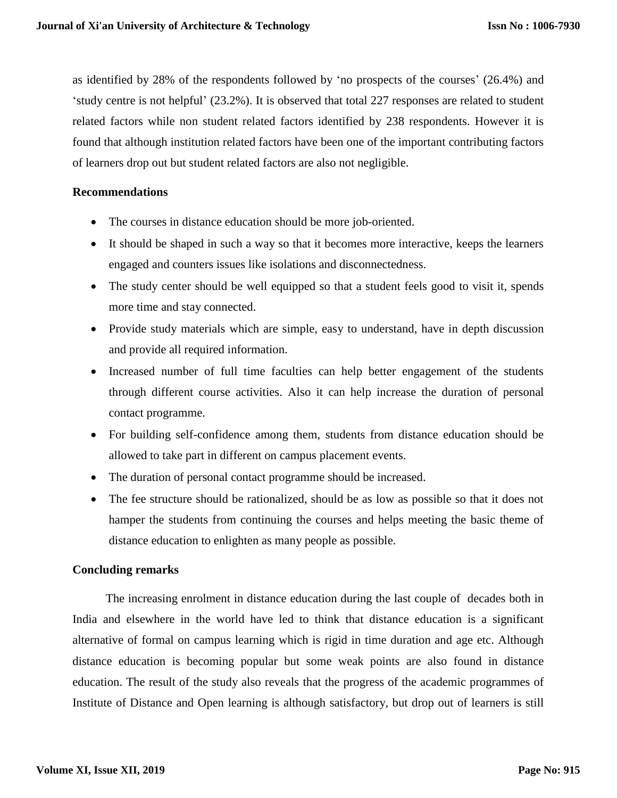as identified by 28% of the respondents followed by 'no prospects of the courses' (26.4%) and 'study centre is not helpful' (23.2%). It is observed that total 227 responses are related to student related factors while non student related factors identified by 238 respondents. However it is found that although institution related factors have been one of the important contributing factors of learners drop out but student related factors are also not negligible.

### **Recommendations**

- The courses in distance education should be more job-oriented.
- It should be shaped in such a way so that it becomes more interactive, keeps the learners engaged and counters issues like isolations and disconnectedness.
- The study center should be well equipped so that a student feels good to visit it, spends more time and stay connected.
- Provide study materials which are simple, easy to understand, have in depth discussion and provide all required information.
- Increased number of full time faculties can help better engagement of the students through different course activities. Also it can help increase the duration of personal contact programme.
- For building self-confidence among them, students from distance education should be allowed to take part in different on campus placement events.
- The duration of personal contact programme should be increased.
- The fee structure should be rationalized, should be as low as possible so that it does not hamper the students from continuing the courses and helps meeting the basic theme of distance education to enlighten as many people as possible.

# **Concluding remarks**

 The increasing enrolment in distance education during the last couple of decades both in India and elsewhere in the world have led to think that distance education is a significant alternative of formal on campus learning which is rigid in time duration and age etc. Although distance education is becoming popular but some weak points are also found in distance education. The result of the study also reveals that the progress of the academic programmes of Institute of Distance and Open learning is although satisfactory, but drop out of learners is still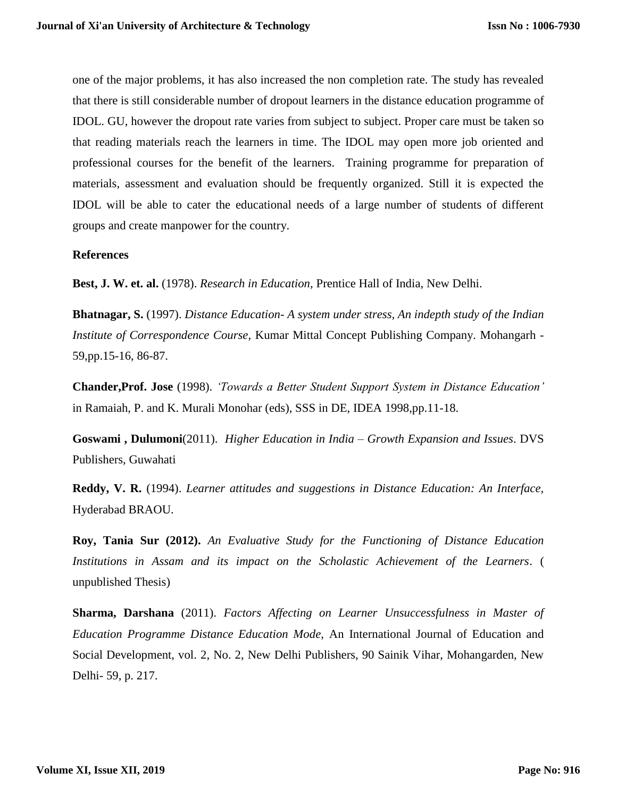one of the major problems, it has also increased the non completion rate. The study has revealed that there is still considerable number of dropout learners in the distance education programme of IDOL. GU, however the dropout rate varies from subject to subject. Proper care must be taken so that reading materials reach the learners in time. The IDOL may open more job oriented and professional courses for the benefit of the learners. Training programme for preparation of materials, assessment and evaluation should be frequently organized. Still it is expected the IDOL will be able to cater the educational needs of a large number of students of different groups and create manpower for the country.

### **References**

**Best, J. W. et. al.** (1978). *Research in Education,* Prentice Hall of India, New Delhi.

**Bhatnagar, S.** (1997). *Distance Education- A system under stress, An indepth study of the Indian Institute of Correspondence Course*, Kumar Mittal Concept Publishing Company. Mohangarh - 59,pp.15-16, 86-87.

**Chander,Prof. Jose** (1998). *'Towards a Better Student Support System in Distance Education'* in Ramaiah, P. and K. Murali Monohar (eds), SSS in DE, IDEA 1998,pp.11-18.

**Goswami , Dulumoni**(2011). *Higher Education in India – Growth Expansion and Issues*. DVS Publishers, Guwahati

**Reddy, V. R.** (1994). *Learner attitudes and suggestions in Distance Education: An Interface,* Hyderabad BRAOU.

**Roy, Tania Sur (2012).** *An Evaluative Study for the Functioning of Distance Education Institutions in Assam and its impact on the Scholastic Achievement of the Learners*. ( unpublished Thesis)

**Sharma, Darshana** (2011). *Factors Affecting on Learner Unsuccessfulness in Master of Education Programme Distance Education Mode,* An International Journal of Education and Social Development, vol. 2, No. 2, New Delhi Publishers, 90 Sainik Vihar, Mohangarden, New Delhi- 59, p. 217.